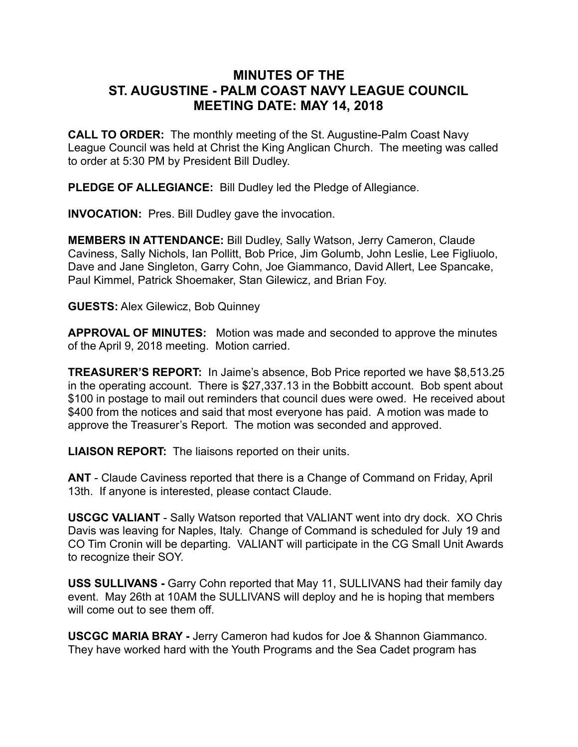## **MINUTES OF THE ST. AUGUSTINE - PALM COAST NAVY LEAGUE COUNCIL MEETING DATE: MAY 14, 2018**

**CALL TO ORDER:** The monthly meeting of the St. Augustine-Palm Coast Navy League Council was held at Christ the King Anglican Church. The meeting was called to order at 5:30 PM by President Bill Dudley.

**PLEDGE OF ALLEGIANCE:** Bill Dudley led the Pledge of Allegiance.

**INVOCATION:** Pres. Bill Dudley gave the invocation.

**MEMBERS IN ATTENDANCE:** Bill Dudley, Sally Watson, Jerry Cameron, Claude Caviness, Sally Nichols, Ian Pollitt, Bob Price, Jim Golumb, John Leslie, Lee Figliuolo, Dave and Jane Singleton, Garry Cohn, Joe Giammanco, David Allert, Lee Spancake, Paul Kimmel, Patrick Shoemaker, Stan Gilewicz, and Brian Foy.

**GUESTS:** Alex Gilewicz, Bob Quinney

**APPROVAL OF MINUTES:** Motion was made and seconded to approve the minutes of the April 9, 2018 meeting. Motion carried.

**TREASURER'S REPORT:** In Jaime's absence, Bob Price reported we have \$8,513.25 in the operating account. There is \$27,337.13 in the Bobbitt account. Bob spent about \$100 in postage to mail out reminders that council dues were owed. He received about \$400 from the notices and said that most everyone has paid. A motion was made to approve the Treasurer's Report. The motion was seconded and approved.

**LIAISON REPORT:** The liaisons reported on their units.

**ANT** - Claude Caviness reported that there is a Change of Command on Friday, April 13th. If anyone is interested, please contact Claude.

**USCGC VALIANT** - Sally Watson reported that VALIANT went into dry dock. XO Chris Davis was leaving for Naples, Italy. Change of Command is scheduled for July 19 and CO Tim Cronin will be departing. VALIANT will participate in the CG Small Unit Awards to recognize their SOY.

**USS SULLIVANS -** Garry Cohn reported that May 11, SULLIVANS had their family day event. May 26th at 10AM the SULLIVANS will deploy and he is hoping that members will come out to see them off.

**USCGC MARIA BRAY -** Jerry Cameron had kudos for Joe & Shannon Giammanco. They have worked hard with the Youth Programs and the Sea Cadet program has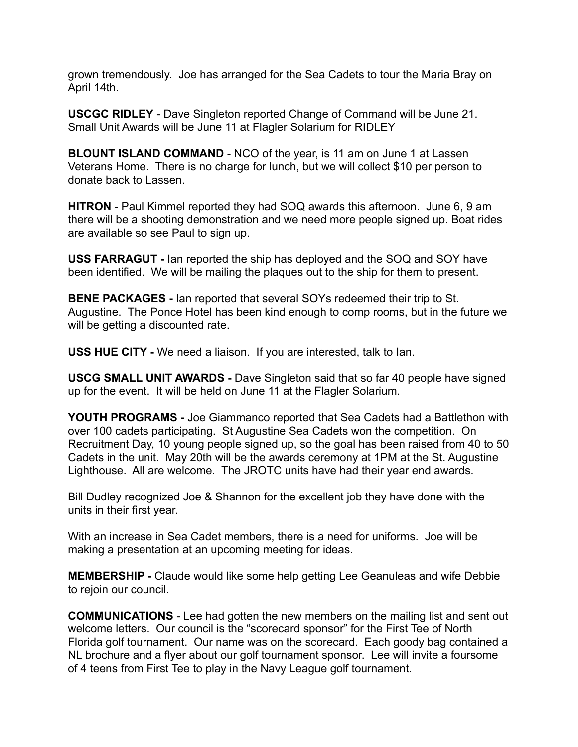grown tremendously. Joe has arranged for the Sea Cadets to tour the Maria Bray on April 14th.

**USCGC RIDLEY** - Dave Singleton reported Change of Command will be June 21. Small Unit Awards will be June 11 at Flagler Solarium for RIDLEY

**BLOUNT ISLAND COMMAND** - NCO of the year, is 11 am on June 1 at Lassen Veterans Home. There is no charge for lunch, but we will collect \$10 per person to donate back to Lassen.

**HITRON** - Paul Kimmel reported they had SOQ awards this afternoon. June 6, 9 am there will be a shooting demonstration and we need more people signed up. Boat rides are available so see Paul to sign up.

**USS FARRAGUT -** Ian reported the ship has deployed and the SOQ and SOY have been identified. We will be mailing the plaques out to the ship for them to present.

**BENE PACKAGES -** Ian reported that several SOYs redeemed their trip to St. Augustine. The Ponce Hotel has been kind enough to comp rooms, but in the future we will be getting a discounted rate.

**USS HUE CITY -** We need a liaison. If you are interested, talk to Ian.

**USCG SMALL UNIT AWARDS -** Dave Singleton said that so far 40 people have signed up for the event. It will be held on June 11 at the Flagler Solarium.

**YOUTH PROGRAMS -** Joe Giammanco reported that Sea Cadets had a Battlethon with over 100 cadets participating. St Augustine Sea Cadets won the competition. On Recruitment Day, 10 young people signed up, so the goal has been raised from 40 to 50 Cadets in the unit. May 20th will be the awards ceremony at 1PM at the St. Augustine Lighthouse. All are welcome. The JROTC units have had their year end awards.

Bill Dudley recognized Joe & Shannon for the excellent job they have done with the units in their first year.

With an increase in Sea Cadet members, there is a need for uniforms. Joe will be making a presentation at an upcoming meeting for ideas.

**MEMBERSHIP -** Claude would like some help getting Lee Geanuleas and wife Debbie to rejoin our council.

**COMMUNICATIONS** - Lee had gotten the new members on the mailing list and sent out welcome letters. Our council is the "scorecard sponsor" for the First Tee of North Florida golf tournament. Our name was on the scorecard. Each goody bag contained a NL brochure and a flyer about our golf tournament sponsor. Lee will invite a foursome of 4 teens from First Tee to play in the Navy League golf tournament.